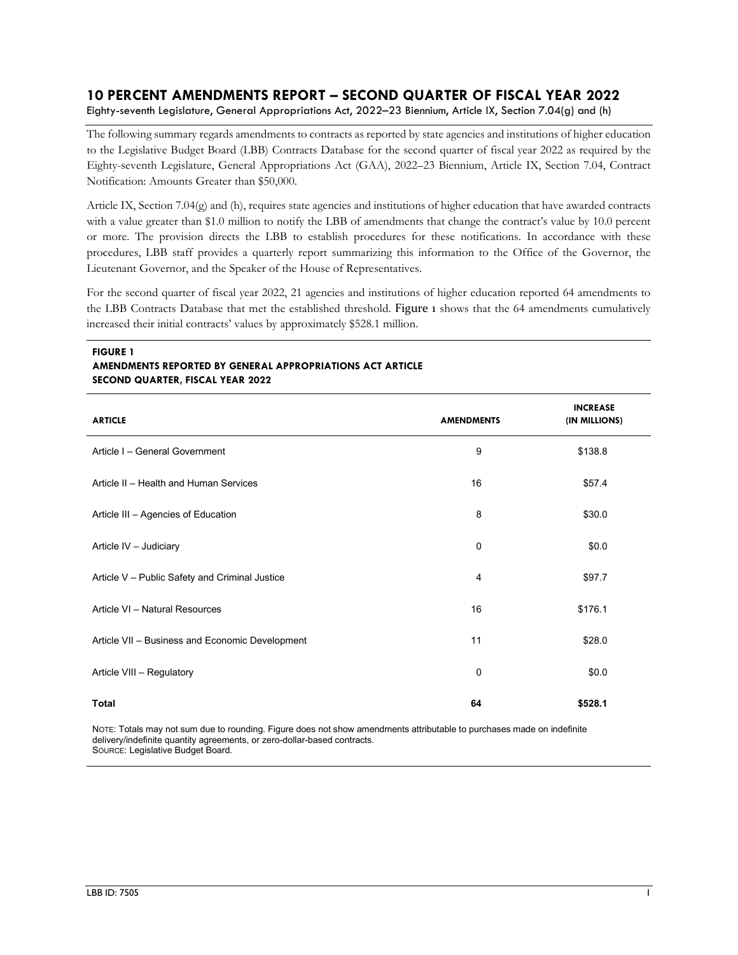# **10 PERCENT AMENDMENTS REPORT – SECOND QUARTER OF FISCAL YEAR 2022**

Eighty-seventh Legislature, General Appropriations Act, 2022–23 Biennium, Article IX, Section 7.04(g) and (h)

The following summary regards amendments to contracts as reported by state agencies and institutions of higher education to the Legislative Budget Board (LBB) Contracts Database for the second quarter of fiscal year 2022 as required by the Eighty-seventh Legislature, General Appropriations Act (GAA), 2022–23 Biennium, Article IX, Section 7.04, Contract Notification: Amounts Greater than \$50,000.

Article IX, Section 7.04(g) and (h), requires state agencies and institutions of higher education that have awarded contracts with a value greater than \$1.0 million to notify the LBB of amendments that change the contract's value by 10.0 percent or more. The provision directs the LBB to establish procedures for these notifications. In accordance with these procedures, LBB staff provides a quarterly report summarizing this information to the Office of the Governor, the Lieutenant Governor, and the Speaker of the House of Representatives.

For the second quarter of fiscal year 2022, 21 agencies and institutions of higher education reported 64 amendments to the LBB Contracts Database that met the established threshold. Figure 1 shows that the 64 amendments cumulatively increased their initial contracts' values by approximately \$528.1 million.

#### **FIGURE 1 AMENDMENTS REPORTED BY GENERAL APPROPRIATIONS ACT ARTICLE SECOND QUARTER, FISCAL YEAR 2022**

| <b>ARTICLE</b>                                  | <b>AMENDMENTS</b> | <b>INCREASE</b><br>(IN MILLIONS) |
|-------------------------------------------------|-------------------|----------------------------------|
| Article I - General Government                  | 9                 | \$138.8                          |
| Article II - Health and Human Services          | 16                | \$57.4                           |
| Article III - Agencies of Education             | 8                 | \$30.0                           |
| Article IV - Judiciary                          | $\mathbf 0$       | \$0.0                            |
| Article V - Public Safety and Criminal Justice  | 4                 | \$97.7                           |
| Article VI - Natural Resources                  | 16                | \$176.1                          |
| Article VII - Business and Economic Development | 11                | \$28.0                           |
| Article VIII - Regulatory                       | $\mathbf 0$       | \$0.0                            |
| Total                                           | 64                | \$528.1                          |

NOTE: Totals may not sum due to rounding. Figure does not show amendments attributable to purchases made on indefinite delivery/indefinite quantity agreements, or zero-dollar-based contracts. SOURCE: Legislative Budget Board.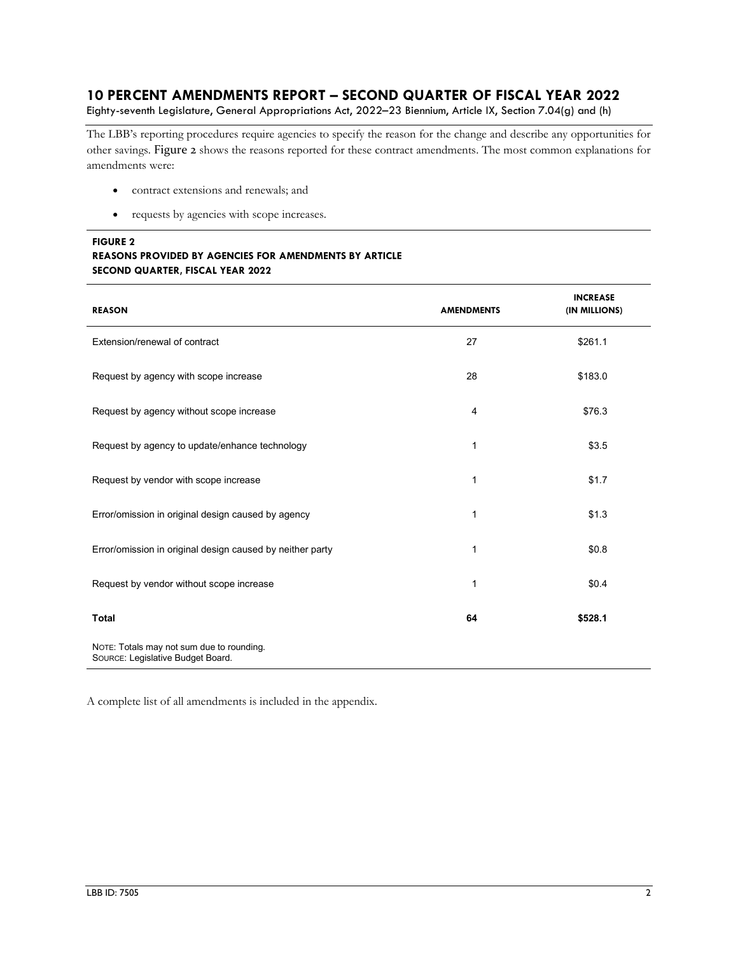## **10 PERCENT AMENDMENTS REPORT – SECOND QUARTER OF FISCAL YEAR 2022**

Eighty-seventh Legislature, General Appropriations Act, 2022–23 Biennium, Article IX, Section 7.04(g) and (h)

The LBB's reporting procedures require agencies to specify the reason for the change and describe any opportunities for other savings. Figure 2 shows the reasons reported for these contract amendments. The most common explanations for amendments were:

- contract extensions and renewals; and
- requests by agencies with scope increases.

## **FIGURE 2**

## **REASONS PROVIDED BY AGENCIES FOR AMENDMENTS BY ARTICLE SECOND QUARTER, FISCAL YEAR 2022**

| <b>REASON</b>                                                                  | <b>AMENDMENTS</b> | <b>INCREASE</b><br>(IN MILLIONS) |
|--------------------------------------------------------------------------------|-------------------|----------------------------------|
| Extension/renewal of contract                                                  | 27                | \$261.1                          |
| Request by agency with scope increase                                          | 28                | \$183.0                          |
| Request by agency without scope increase                                       | 4                 | \$76.3                           |
| Request by agency to update/enhance technology                                 | 1                 | \$3.5                            |
| Request by vendor with scope increase                                          | 1                 | \$1.7                            |
| Error/omission in original design caused by agency                             | 1                 | \$1.3                            |
| Error/omission in original design caused by neither party                      | 1                 | \$0.8                            |
| Request by vendor without scope increase                                       | 1                 | \$0.4                            |
| <b>Total</b>                                                                   | 64                | \$528.1                          |
| NOTE: Totals may not sum due to rounding.<br>SOURCE: Legislative Budget Board. |                   |                                  |

A complete list of all amendments is included in the appendix.